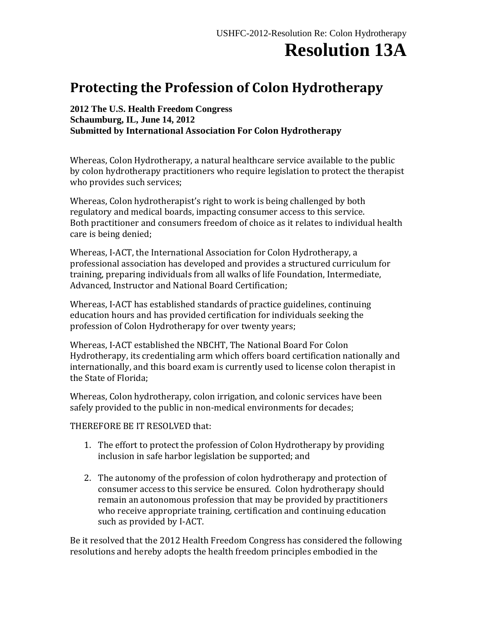## **Resolution 13A**

## **Protecting the Profession of Colon Hydrotherapy**

**2012 The U.S. Health Freedom Congress Schaumburg, IL, June 14, 2012 Submitted by International Association For Colon Hydrotherapy**

Whereas, Colon Hydrotherapy, a natural healthcare service available to the public by colon hydrotherapy practitioners who require legislation to protect the therapist who provides such services;

Whereas, Colon hydrotherapist's right to work is being challenged by both regulatory and medical boards, impacting consumer access to this service. Both practitioner and consumers freedom of choice as it relates to individual health care is being denied;

Whereas, I-ACT, the International Association for Colon Hydrotherapy, a professional association has developed and provides a structured curriculum for training, preparing individuals from all walks of life Foundation, Intermediate, Advanced, Instructor and National Board Certification;

Whereas, I-ACT has established standards of practice guidelines, continuing education hours and has provided certification for individuals seeking the profession of Colon Hydrotherapy for over twenty years;

Whereas, I-ACT established the NBCHT, The National Board For Colon Hydrotherapy, its credentialing arm which offers board certification nationally and internationally, and this board exam is currently used to license colon therapist in the State of Florida;

Whereas, Colon hydrotherapy, colon irrigation, and colonic services have been safely provided to the public in non-medical environments for decades;

## THEREFORE BE IT RESOLVED that:

- 1. The effort to protect the profession of Colon Hydrotherapy by providing inclusion in safe harbor legislation be supported; and
- 2. The autonomy of the profession of colon hydrotherapy and protection of consumer access to this service be ensured. Colon hydrotherapy should remain an autonomous profession that may be provided by practitioners who receive appropriate training, certification and continuing education such as provided by I-ACT.

Be it resolved that the 2012 Health Freedom Congress has considered the following resolutions and hereby adopts the health freedom principles embodied in the